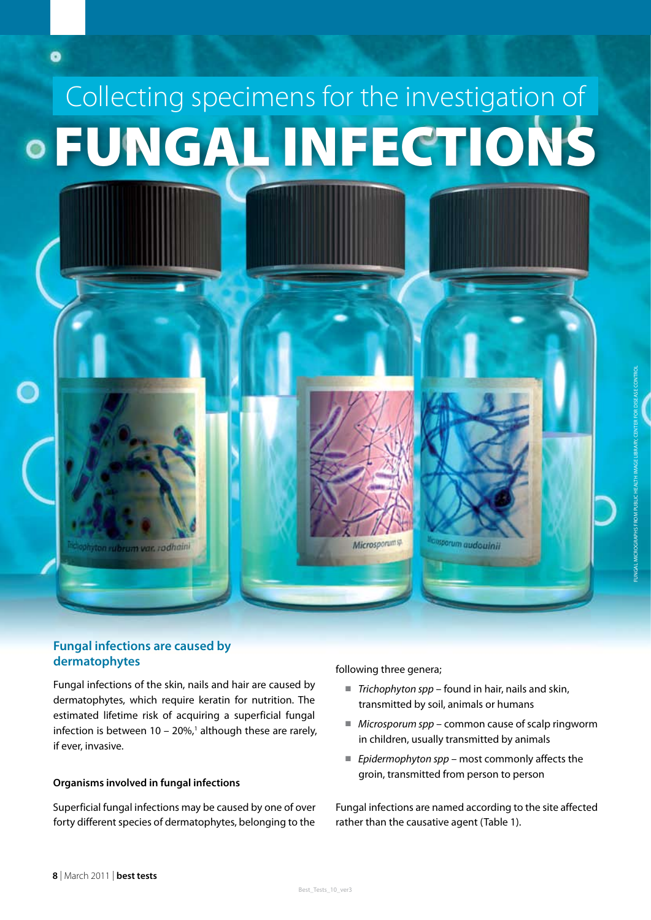# FUNGAL INFECTIONS Collecting specimens for the investigation of

ubrum var, rodhaini

o

## **Fungal infections are caused by dermatophytes**

Fungal infections of the skin, nails and hair are caused by dermatophytes, which require keratin for nutrition. The estimated lifetime risk of acquiring a superficial fungal infection is between  $10 - 20\%$ ,<sup>1</sup> although these are rarely, if ever, invasive.

### **Organisms involved in fungal infections**

Superficial fungal infections may be caused by one of over forty different species of dermatophytes, belonging to the

following three genera;

Microsporumsp

■ *Trichophyton spp* – found in hair, nails and skin, transmitted by soil, animals or humans

assporum audouinii

- *Microsporum spp* common cause of scalp ringworm in children, usually transmitted by animals
- *Epidermophyton spp* most commonly affects the groin, transmitted from person to person

Fungal infections are named according to the site affected rather than the causative agent (Table 1).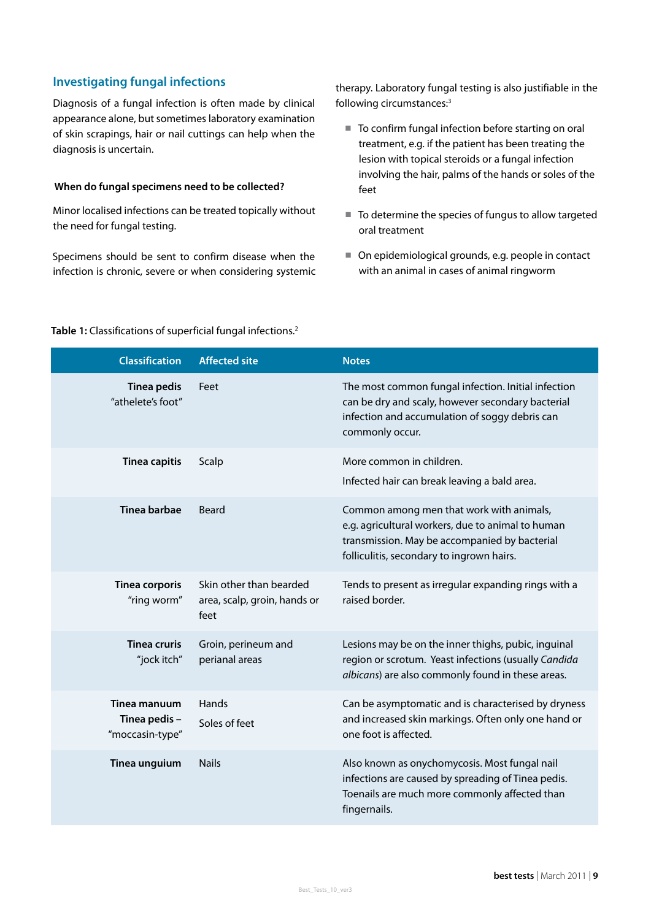# **Investigating fungal infections**

Diagnosis of a fungal infection is often made by clinical appearance alone, but sometimes laboratory examination of skin scrapings, hair or nail cuttings can help when the diagnosis is uncertain.

#### **When do fungal specimens need to be collected?**

Minor localised infections can be treated topically without the need for fungal testing.

Specimens should be sent to confirm disease when the infection is chronic, severe or when considering systemic therapy. Laboratory fungal testing is also justifiable in the following circumstances:3

- To confirm fungal infection before starting on oral treatment, e.g. if the patient has been treating the lesion with topical steroids or a fungal infection involving the hair, palms of the hands or soles of the feet
- To determine the species of fungus to allow targeted oral treatment
- On epidemiological grounds, e.g. people in contact with an animal in cases of animal ringworm

#### **Table 1:** Classifications of superficial fungal infections.2

| <b>Classification</b>                            | <b>Affected site</b>                                            | <b>Notes</b>                                                                                                                                                                                |
|--------------------------------------------------|-----------------------------------------------------------------|---------------------------------------------------------------------------------------------------------------------------------------------------------------------------------------------|
| <b>Tinea pedis</b><br>"athelete's foot"          | Feet                                                            | The most common fungal infection. Initial infection<br>can be dry and scaly, however secondary bacterial<br>infection and accumulation of soggy debris can<br>commonly occur.               |
| <b>Tinea capitis</b>                             | Scalp                                                           | More common in children.<br>Infected hair can break leaving a bald area.                                                                                                                    |
| Tinea barbae                                     | Beard                                                           | Common among men that work with animals,<br>e.g. agricultural workers, due to animal to human<br>transmission. May be accompanied by bacterial<br>folliculitis, secondary to ingrown hairs. |
| <b>Tinea corporis</b><br>"ring worm"             | Skin other than bearded<br>area, scalp, groin, hands or<br>feet | Tends to present as irregular expanding rings with a<br>raised border.                                                                                                                      |
| <b>Tinea cruris</b><br>"jock itch"               | Groin, perineum and<br>perianal areas                           | Lesions may be on the inner thighs, pubic, inguinal<br>region or scrotum. Yeast infections (usually Candida<br>albicans) are also commonly found in these areas.                            |
| Tinea manuum<br>Tinea pedis -<br>"moccasin-type" | Hands<br>Soles of feet                                          | Can be asymptomatic and is characterised by dryness<br>and increased skin markings. Often only one hand or<br>one foot is affected.                                                         |
| Tinea unguium                                    | <b>Nails</b>                                                    | Also known as onychomycosis. Most fungal nail<br>infections are caused by spreading of Tinea pedis.<br>Toenails are much more commonly affected than<br>fingernails.                        |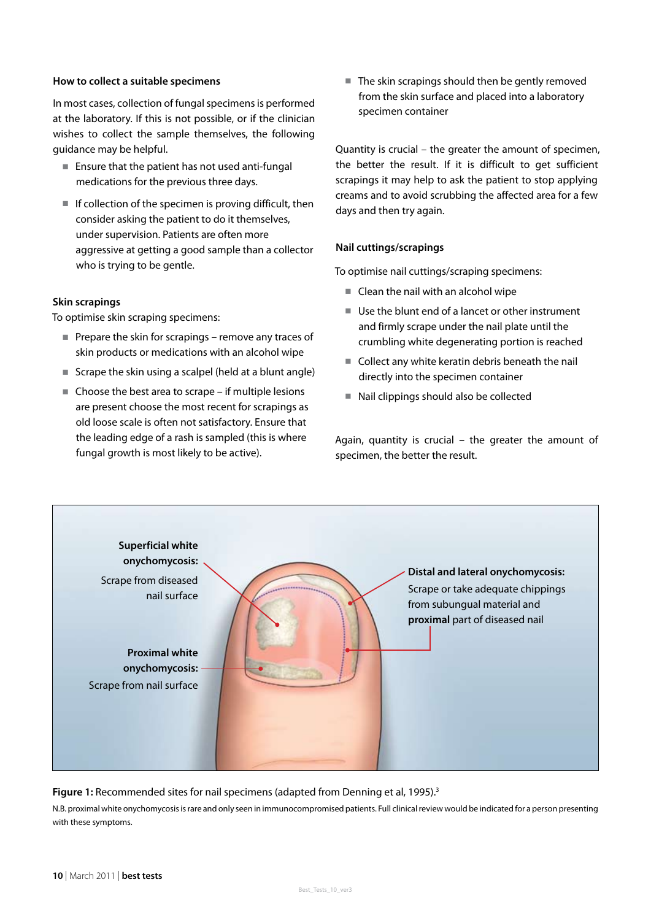#### **How to collect a suitable specimens**

In most cases, collection of fungal specimens is performed at the laboratory. If this is not possible, or if the clinician wishes to collect the sample themselves, the following guidance may be helpful.

- Ensure that the patient has not used anti-fungal medications for the previous three days.
- If collection of the specimen is proving difficult, then consider asking the patient to do it themselves, under supervision. Patients are often more aggressive at getting a good sample than a collector who is trying to be gentle.

#### **Skin scrapings**

To optimise skin scraping specimens:

- Prepare the skin for scrapings remove any traces of skin products or medications with an alcohol wipe
- Scrape the skin using a scalpel (held at a blunt angle)
- Choose the best area to scrape if multiple lesions are present choose the most recent for scrapings as old loose scale is often not satisfactory. Ensure that the leading edge of a rash is sampled (this is where fungal growth is most likely to be active).

■ The skin scrapings should then be gently removed from the skin surface and placed into a laboratory specimen container

Quantity is crucial – the greater the amount of specimen, the better the result. If it is difficult to get sufficient scrapings it may help to ask the patient to stop applying creams and to avoid scrubbing the affected area for a few days and then try again.

#### **Nail cuttings/scrapings**

To optimise nail cuttings/scraping specimens:

- Clean the nail with an alcohol wipe
- Use the blunt end of a lancet or other instrument and firmly scrape under the nail plate until the crumbling white degenerating portion is reached
- Collect any white keratin debris beneath the nail directly into the specimen container
- Nail clippings should also be collected

Again, quantity is crucial – the greater the amount of specimen, the better the result.



#### **Figure 1:** Recommended sites for nail specimens (adapted from Denning et al, 1995).<sup>3</sup>

N.B. proximal white onychomycosis is rare and only seen in immunocompromised patients. Full clinical review would be indicated for a person presenting with these symptoms.